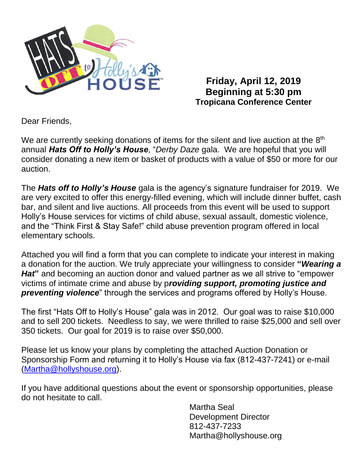

**Friday, April 12, 2019 Beginning at 5:30 pm Tropicana Conference Center**

Dear Friends,

We are currently seeking donations of items for the silent and live auction at the 8<sup>th</sup> annual *Hats Off to Holly's House*, "*Derby Daze* gala. We are hopeful that you will consider donating a new item or basket of products with a value of \$50 or more for our auction.

The *Hats off to Holly's House* gala is the agency's signature fundraiser for 2019. We are very excited to offer this energy-filled evening, which will include dinner buffet, cash bar, and silent and live auctions. All proceeds from this event will be used to support Holly's House services for victims of child abuse, sexual assault, domestic violence, and the "Think First & Stay Safe!" child abuse prevention program offered in local elementary schools.

Attached you will find a form that you can complete to indicate your interest in making a donation for the auction. We truly appreciate your willingness to consider **"***Wearing a Hat***"** and becoming an auction donor and valued partner as we all strive to "empower victims of intimate crime and abuse by p*roviding support, promoting justice and*  **preventing violence**" through the services and programs offered by Holly's House.

The first "Hats Off to Holly's House" gala was in 2012. Our goal was to raise \$10,000 and to sell 200 tickets. Needless to say, we were thrilled to raise \$25,000 and sell over 350 tickets. Our goal for 2019 is to raise over \$50,000.

Please let us know your plans by completing the attached Auction Donation or Sponsorship Form and returning it to Holly's House via fax (812-437-7241) or e-mail [\(Martha@hollyshouse.org\)](mailto:Martha@hollyshouse.org).

If you have additional questions about the event or sponsorship opportunities, please do not hesitate to call.

> Martha Seal Development Director 812-437-7233 Martha@hollyshouse.org